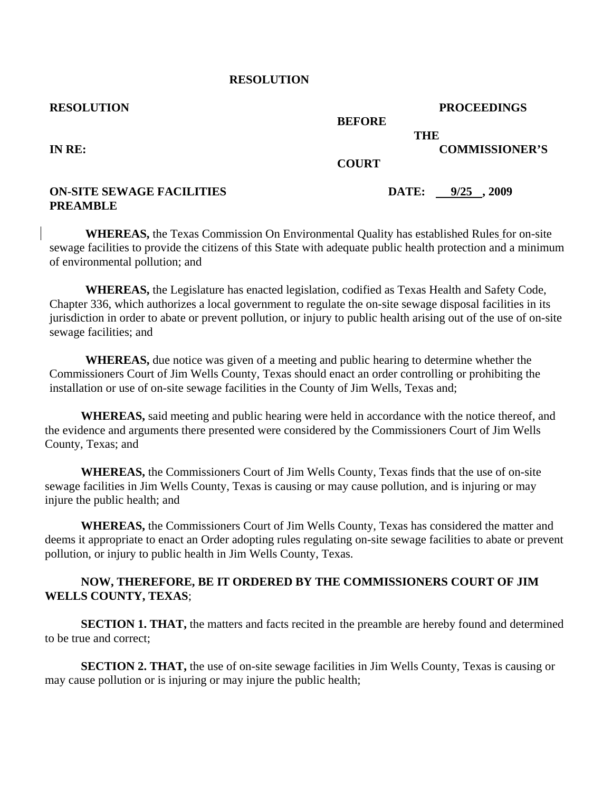### **RESOLUTION**

| <b>RESOLUTION</b>                |               | <b>PROCEEDINGS</b>    |
|----------------------------------|---------------|-----------------------|
|                                  | <b>BEFORE</b> |                       |
|                                  | <b>THE</b>    |                       |
| IN RE:                           |               | <b>COMMISSIONER'S</b> |
|                                  | <b>COURT</b>  |                       |
| <b>ON-SITE SEWAGE FACILITIES</b> | DATE:         | $9/25$ , 2009         |
| <b>PREAMBLE</b>                  |               |                       |

**WHEREAS,** the Texas Commission On Environmental Quality has established Rules for on-site sewage facilities to provide the citizens of this State with adequate public health protection and a minimum of environmental pollution; and

**WHEREAS,** the Legislature has enacted legislation, codified as Texas Health and Safety Code, Chapter 336, which authorizes a local government to regulate the on-site sewage disposal facilities in its jurisdiction in order to abate or prevent pollution, or injury to public health arising out of the use of on-site sewage facilities; and

**WHEREAS,** due notice was given of a meeting and public hearing to determine whether the Commissioners Court of Jim Wells County, Texas should enact an order controlling or prohibiting the installation or use of on-site sewage facilities in the County of Jim Wells, Texas and;

**WHEREAS,** said meeting and public hearing were held in accordance with the notice thereof, and the evidence and arguments there presented were considered by the Commissioners Court of Jim Wells County, Texas; and

**WHEREAS,** the Commissioners Court of Jim Wells County, Texas finds that the use of on-site sewage facilities in Jim Wells County, Texas is causing or may cause pollution, and is injuring or may injure the public health; and

**WHEREAS,** the Commissioners Court of Jim Wells County, Texas has considered the matter and deems it appropriate to enact an Order adopting rules regulating on-site sewage facilities to abate or prevent pollution, or injury to public health in Jim Wells County, Texas.

# **NOW, THEREFORE, BE IT ORDERED BY THE COMMISSIONERS COURT OF JIM WELLS COUNTY, TEXAS**;

**SECTION 1. THAT,** the matters and facts recited in the preamble are hereby found and determined to be true and correct;

**SECTION 2. THAT,** the use of on-site sewage facilities in Jim Wells County, Texas is causing or may cause pollution or is injuring or may injure the public health;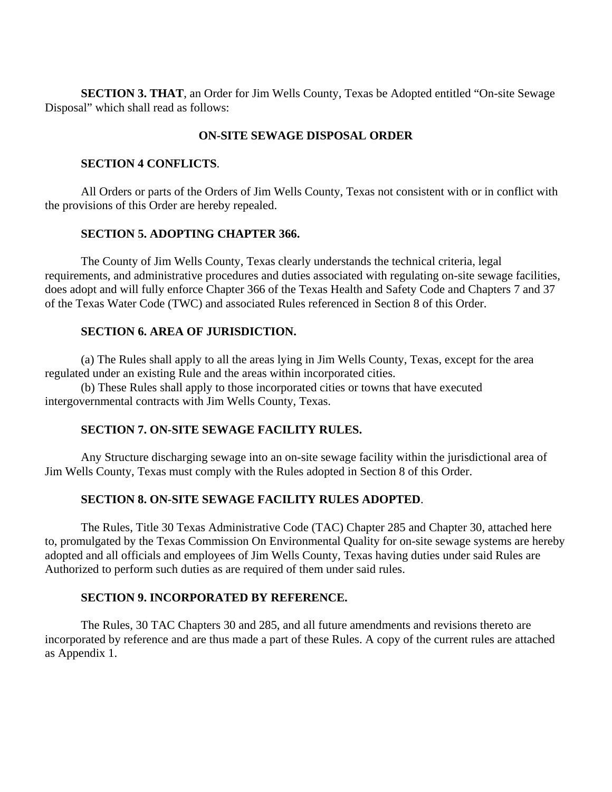**SECTION 3. THAT**, an Order for Jim Wells County, Texas be Adopted entitled "On-site Sewage Disposal" which shall read as follows:

# **ON-SITE SEWAGE DISPOSAL ORDER**

## **SECTION 4 CONFLICTS**.

All Orders or parts of the Orders of Jim Wells County, Texas not consistent with or in conflict with the provisions of this Order are hereby repealed.

# **SECTION 5. ADOPTING CHAPTER 366.**

The County of Jim Wells County, Texas clearly understands the technical criteria, legal requirements, and administrative procedures and duties associated with regulating on-site sewage facilities, does adopt and will fully enforce Chapter 366 of the Texas Health and Safety Code and Chapters 7 and 37 of the Texas Water Code (TWC) and associated Rules referenced in Section 8 of this Order.

# **SECTION 6. AREA OF JURISDICTION.**

(a) The Rules shall apply to all the areas lying in Jim Wells County, Texas, except for the area regulated under an existing Rule and the areas within incorporated cities.

(b) These Rules shall apply to those incorporated cities or towns that have executed intergovernmental contracts with Jim Wells County, Texas.

# **SECTION 7. ON-SITE SEWAGE FACILITY RULES.**

Any Structure discharging sewage into an on-site sewage facility within the jurisdictional area of Jim Wells County, Texas must comply with the Rules adopted in Section 8 of this Order.

### **SECTION 8. ON-SITE SEWAGE FACILITY RULES ADOPTED**.

The Rules, Title 30 Texas Administrative Code (TAC) Chapter 285 and Chapter 30, attached here to, promulgated by the Texas Commission On Environmental Quality for on-site sewage systems are hereby adopted and all officials and employees of Jim Wells County, Texas having duties under said Rules are Authorized to perform such duties as are required of them under said rules.

### **SECTION 9. INCORPORATED BY REFERENCE.**

The Rules, 30 TAC Chapters 30 and 285, and all future amendments and revisions thereto are incorporated by reference and are thus made a part of these Rules. A copy of the current rules are attached as Appendix 1.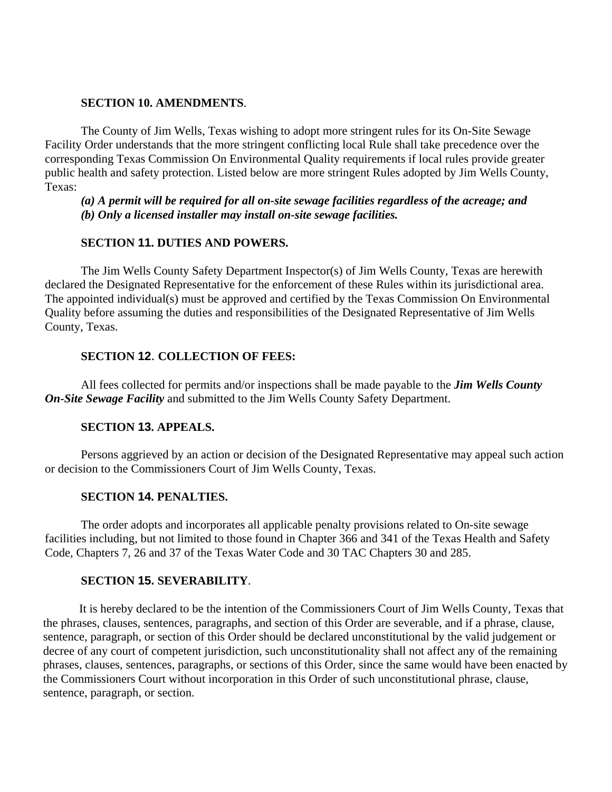### **SECTION 10. AMENDMENTS**.

The County of Jim Wells, Texas wishing to adopt more stringent rules for its On-Site Sewage Facility Order understands that the more stringent conflicting local Rule shall take precedence over the corresponding Texas Commission On Environmental Quality requirements if local rules provide greater public health and safety protection. Listed below are more stringent Rules adopted by Jim Wells County, Texas:

*(a) A permit will be required for all on-site sewage facilities regardless of the acreage; and (b) Only a licensed installer may install on-site sewage facilities.*

# **SECTION 11. DUTIES AND POWERS.**

The Jim Wells County Safety Department Inspector(s) of Jim Wells County, Texas are herewith declared the Designated Representative for the enforcement of these Rules within its jurisdictional area. The appointed individual(s) must be approved and certified by the Texas Commission On Environmental Quality before assuming the duties and responsibilities of the Designated Representative of Jim Wells County, Texas.

# **SECTION 12**. **COLLECTION OF FEES:**

All fees collected for permits and/or inspections shall be made payable to the *Jim Wells County On-Site Sewage Facility* and submitted to the Jim Wells County Safety Department.

# **SECTION 13. APPEALS.**

Persons aggrieved by an action or decision of the Designated Representative may appeal such action or decision to the Commissioners Court of Jim Wells County, Texas.

### **SECTION 14. PENALTIES.**

The order adopts and incorporates all applicable penalty provisions related to On-site sewage facilities including, but not limited to those found in Chapter 366 and 341 of the Texas Health and Safety Code, Chapters 7, 26 and 37 of the Texas Water Code and 30 TAC Chapters 30 and 285.

### **SECTION 15. SEVERABILITY**.

It is hereby declared to be the intention of the Commissioners Court of Jim Wells County, Texas that the phrases, clauses, sentences, paragraphs, and section of this Order are severable, and if a phrase, clause, sentence, paragraph, or section of this Order should be declared unconstitutional by the valid judgement or decree of any court of competent jurisdiction, such unconstitutionality shall not affect any of the remaining phrases, clauses, sentences, paragraphs, or sections of this Order, since the same would have been enacted by the Commissioners Court without incorporation in this Order of such unconstitutional phrase, clause, sentence, paragraph, or section.